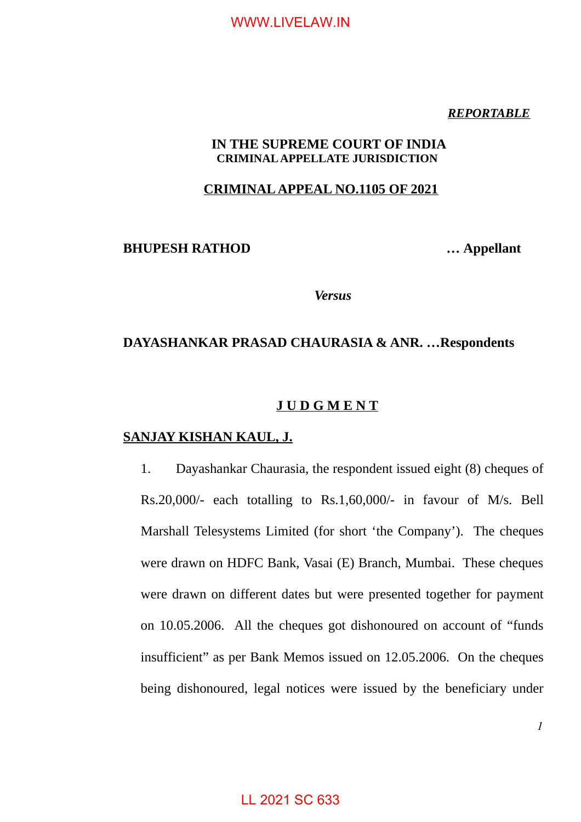#### *REPORTABLE*

#### **IN THE SUPREME COURT OF INDIA CRIMINAL APPELLATE JURISDICTION**

#### **CRIMINAL APPEAL NO.1105 OF 2021**

### **BHUPESH RATHOD … Appellant**

*1*

*Versus*

#### **DAYASHANKAR PRASAD CHAURASIA & ANR. …Respondents**

#### **J U D G M E N T**

### **SANJAY KISHAN KAUL, J.**

1. Dayashankar Chaurasia, the respondent issued eight (8) cheques of Rs.20,000/- each totalling to Rs.1,60,000/- in favour of M/s. Bell Marshall Telesystems Limited (for short 'the Company'). The cheques were drawn on HDFC Bank, Vasai (E) Branch, Mumbai. These cheques were drawn on different dates but were presented together for payment on 10.05.2006. All the cheques got dishonoured on account of "funds insufficient" as per Bank Memos issued on 12.05.2006. On the cheques being dishonoured, legal notices were issued by the beneficiary under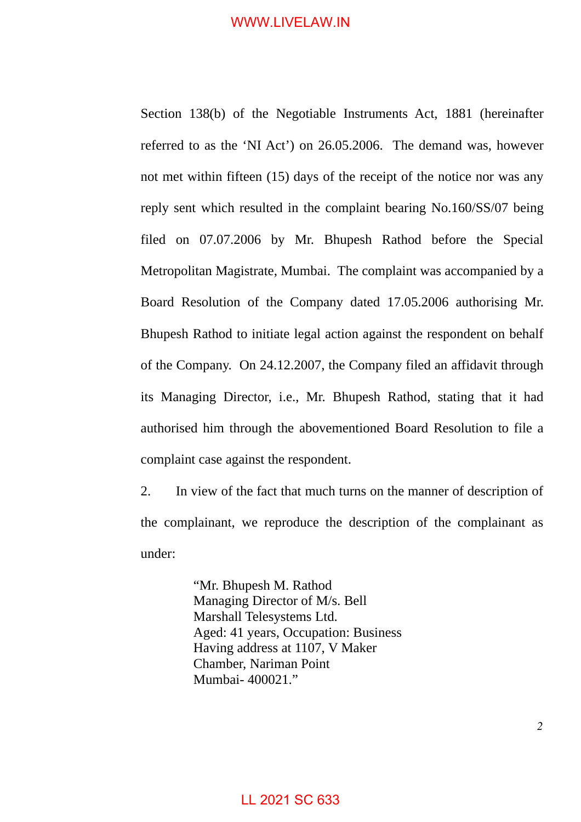Section 138(b) of the Negotiable Instruments Act, 1881 (hereinafter referred to as the 'NI Act') on 26.05.2006. The demand was, however not met within fifteen (15) days of the receipt of the notice nor was any reply sent which resulted in the complaint bearing No.160/SS/07 being filed on 07.07.2006 by Mr. Bhupesh Rathod before the Special Metropolitan Magistrate, Mumbai. The complaint was accompanied by a Board Resolution of the Company dated 17.05.2006 authorising Mr. Bhupesh Rathod to initiate legal action against the respondent on behalf of the Company. On 24.12.2007, the Company filed an affidavit through its Managing Director, i.e., Mr. Bhupesh Rathod, stating that it had authorised him through the abovementioned Board Resolution to file a complaint case against the respondent.

2. In view of the fact that much turns on the manner of description of the complainant, we reproduce the description of the complainant as under:

> "Mr. Bhupesh M. Rathod Managing Director of M/s. Bell Marshall Telesystems Ltd. Aged: 41 years, Occupation: Business Having address at 1107, V Maker Chamber, Nariman Point Mumbai- 400021."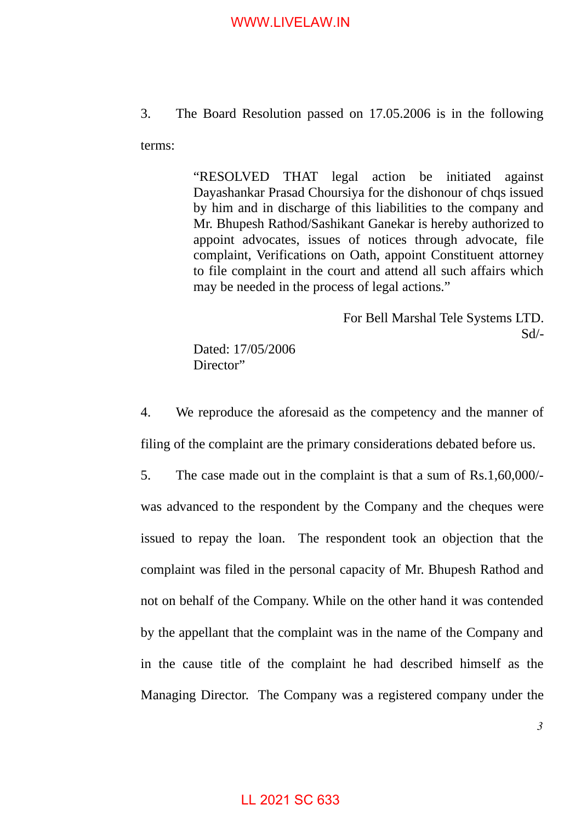3. The Board Resolution passed on 17.05.2006 is in the following

terms:

"RESOLVED THAT legal action be initiated against Dayashankar Prasad Choursiya for the dishonour of chqs issued by him and in discharge of this liabilities to the company and Mr. Bhupesh Rathod/Sashikant Ganekar is hereby authorized to appoint advocates, issues of notices through advocate, file complaint, Verifications on Oath, appoint Constituent attorney to file complaint in the court and attend all such affairs which may be needed in the process of legal actions."

> For Bell Marshal Tele Systems LTD. Sd/-

Dated: 17/05/2006 Director"

4. We reproduce the aforesaid as the competency and the manner of filing of the complaint are the primary considerations debated before us.

5. The case made out in the complaint is that a sum of Rs.1,60,000/ was advanced to the respondent by the Company and the cheques were issued to repay the loan. The respondent took an objection that the complaint was filed in the personal capacity of Mr. Bhupesh Rathod and not on behalf of the Company. While on the other hand it was contended by the appellant that the complaint was in the name of the Company and in the cause title of the complaint he had described himself as the Managing Director. The Company was a registered company under the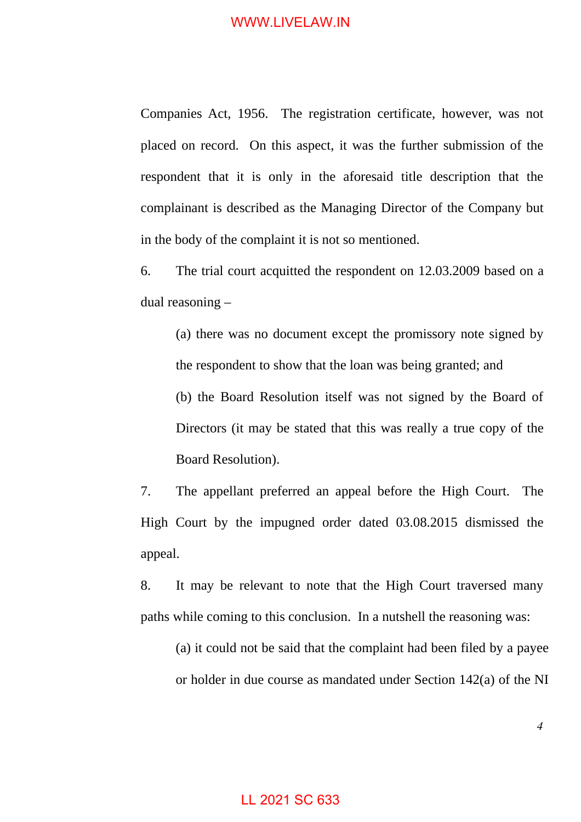Companies Act, 1956. The registration certificate, however, was not placed on record. On this aspect, it was the further submission of the respondent that it is only in the aforesaid title description that the complainant is described as the Managing Director of the Company but in the body of the complaint it is not so mentioned.

6. The trial court acquitted the respondent on 12.03.2009 based on a dual reasoning –

(a) there was no document except the promissory note signed by the respondent to show that the loan was being granted; and

(b) the Board Resolution itself was not signed by the Board of Directors (it may be stated that this was really a true copy of the Board Resolution).

7. The appellant preferred an appeal before the High Court. The High Court by the impugned order dated 03.08.2015 dismissed the appeal.

8. It may be relevant to note that the High Court traversed many paths while coming to this conclusion. In a nutshell the reasoning was:

(a) it could not be said that the complaint had been filed by a payee or holder in due course as mandated under Section 142(a) of the NI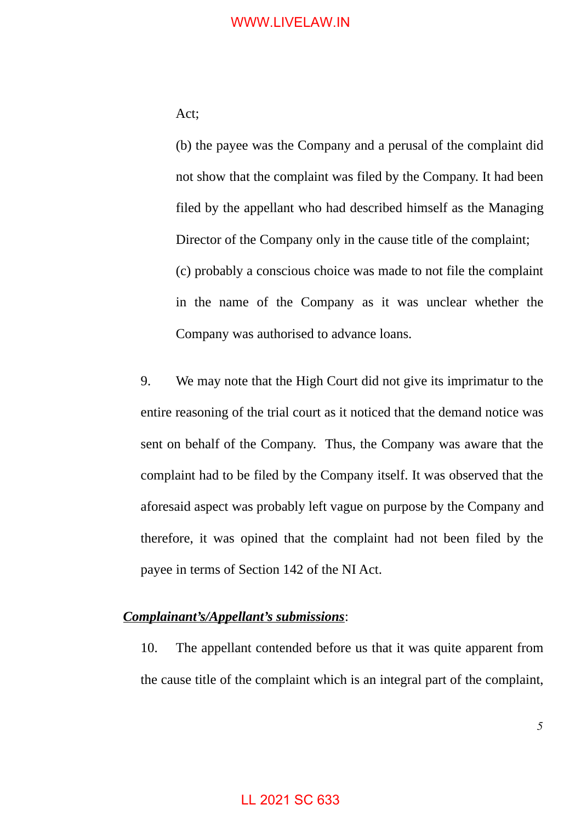Act;

(b) the payee was the Company and a perusal of the complaint did not show that the complaint was filed by the Company. It had been filed by the appellant who had described himself as the Managing Director of the Company only in the cause title of the complaint; (c) probably a conscious choice was made to not file the complaint in the name of the Company as it was unclear whether the Company was authorised to advance loans.

9. We may note that the High Court did not give its imprimatur to the entire reasoning of the trial court as it noticed that the demand notice was sent on behalf of the Company. Thus, the Company was aware that the complaint had to be filed by the Company itself. It was observed that the aforesaid aspect was probably left vague on purpose by the Company and therefore, it was opined that the complaint had not been filed by the payee in terms of Section 142 of the NI Act.

#### *Complainant's/Appellant's submissions*:

10. The appellant contended before us that it was quite apparent from the cause title of the complaint which is an integral part of the complaint,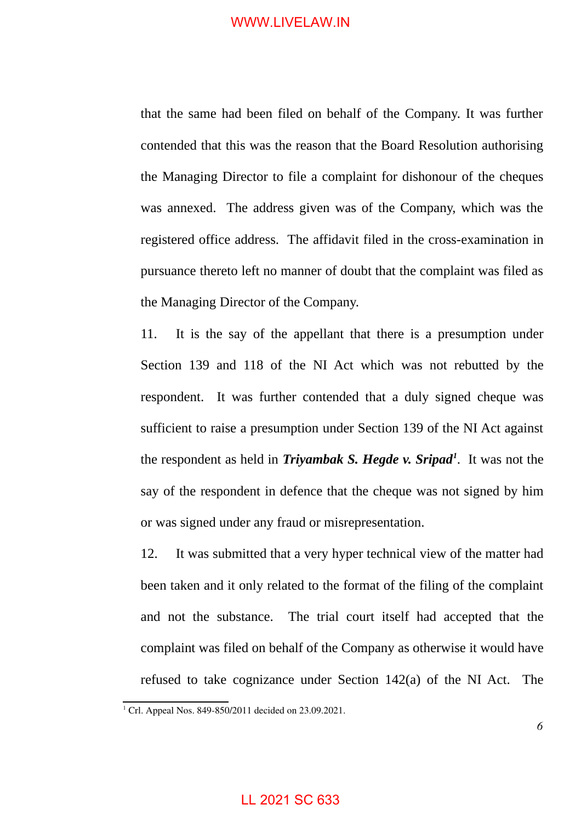that the same had been filed on behalf of the Company. It was further contended that this was the reason that the Board Resolution authorising the Managing Director to file a complaint for dishonour of the cheques was annexed. The address given was of the Company, which was the registered office address. The affidavit filed in the cross-examination in pursuance thereto left no manner of doubt that the complaint was filed as the Managing Director of the Company.

11. It is the say of the appellant that there is a presumption under Section 139 and 118 of the NI Act which was not rebutted by the respondent. It was further contended that a duly signed cheque was sufficient to raise a presumption under Section 139 of the NI Act against the respondent as held in *Triyambak S. Hegde v. Sripad[1](#page-5-0)* . It was not the say of the respondent in defence that the cheque was not signed by him or was signed under any fraud or misrepresentation.

12. It was submitted that a very hyper technical view of the matter had been taken and it only related to the format of the filing of the complaint and not the substance. The trial court itself had accepted that the complaint was filed on behalf of the Company as otherwise it would have refused to take cognizance under Section 142(a) of the NI Act. The

<span id="page-5-0"></span><sup>&</sup>lt;sup>1</sup> Crl. Appeal Nos. 849-850/2011 decided on 23.09.2021.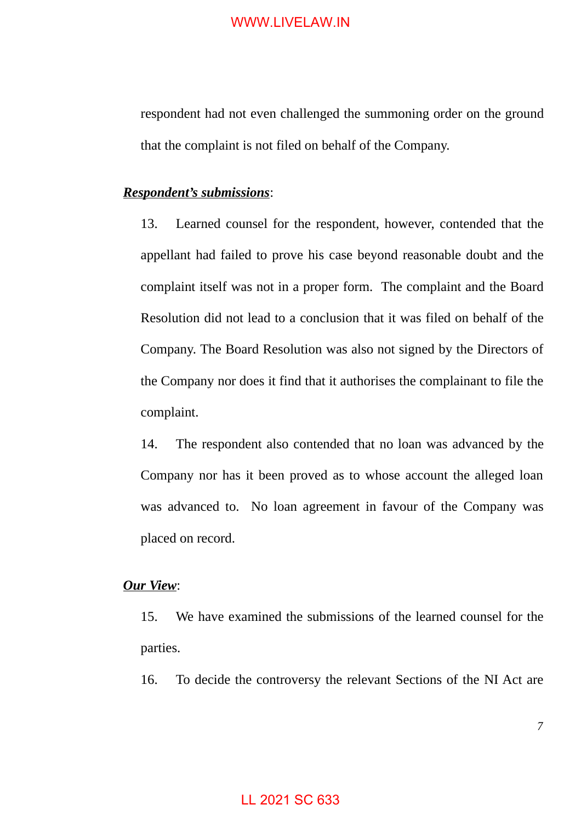respondent had not even challenged the summoning order on the ground that the complaint is not filed on behalf of the Company.

#### *Respondent's submissions*:

13. Learned counsel for the respondent, however, contended that the appellant had failed to prove his case beyond reasonable doubt and the complaint itself was not in a proper form. The complaint and the Board Resolution did not lead to a conclusion that it was filed on behalf of the Company. The Board Resolution was also not signed by the Directors of the Company nor does it find that it authorises the complainant to file the complaint.

14. The respondent also contended that no loan was advanced by the Company nor has it been proved as to whose account the alleged loan was advanced to. No loan agreement in favour of the Company was placed on record.

#### *Our View*:

15. We have examined the submissions of the learned counsel for the parties.

16. To decide the controversy the relevant Sections of the NI Act are

*7*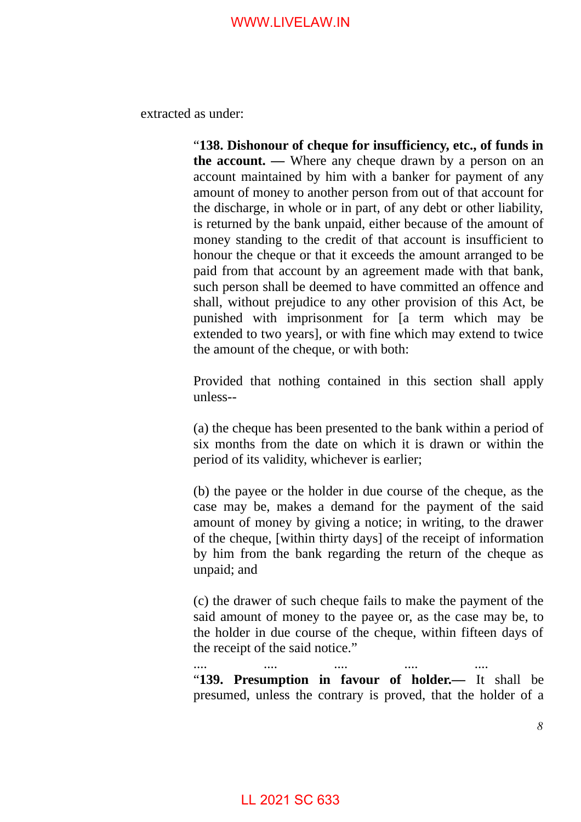extracted as under:

"**138. Dishonour of cheque for insufficiency, etc., of funds in the account. —** Where any cheque drawn by a person on an account maintained by him with a banker for payment of any amount of money to another person from out of that account for the discharge, in whole or in part, of any debt or other liability, is returned by the bank unpaid, either because of the amount of money standing to the credit of that account is insufficient to honour the cheque or that it exceeds the amount arranged to be paid from that account by an agreement made with that bank, such person shall be deemed to have committed an offence and shall, without prejudice to any other provision of this Act, be punished with imprisonment for [a term which may be extended to two years], or with fine which may extend to twice the amount of the cheque, or with both:

Provided that nothing contained in this section shall apply unless--

(a) the cheque has been presented to the bank within a period of six months from the date on which it is drawn or within the period of its validity, whichever is earlier;

(b) the payee or the holder in due course of the cheque, as the case may be, makes a demand for the payment of the said amount of money by giving a notice; in writing, to the drawer of the cheque, [within thirty days] of the receipt of information by him from the bank regarding the return of the cheque as unpaid; and

(c) the drawer of such cheque fails to make the payment of the said amount of money to the payee or, as the case may be, to the holder in due course of the cheque, within fifteen days of the receipt of the said notice."

.... .... .... .... .... "**139. Presumption in favour of holder.—** It shall be presumed, unless the contrary is proved, that the holder of a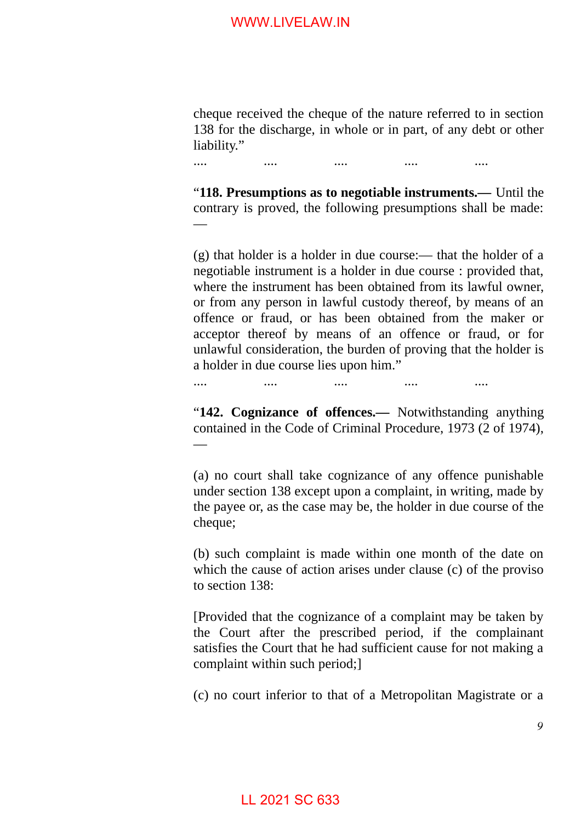cheque received the cheque of the nature referred to in section 138 for the discharge, in whole or in part, of any debt or other liability."

.... .... .... .... ....

"**118. Presumptions as to negotiable instruments.—** Until the contrary is proved, the following presumptions shall be made: —

(g) that holder is a holder in due course:— that the holder of a negotiable instrument is a holder in due course : provided that, where the instrument has been obtained from its lawful owner, or from any person in lawful custody thereof, by means of an offence or fraud, or has been obtained from the maker or acceptor thereof by means of an offence or fraud, or for unlawful consideration, the burden of proving that the holder is a holder in due course lies upon him."

"**142. Cognizance of offences.—** Notwithstanding anything contained in the Code of Criminal Procedure, 1973 (2 of 1974), —

.... .... .... .... ....

(a) no court shall take cognizance of any offence punishable under section 138 except upon a complaint, in writing, made by the payee or, as the case may be, the holder in due course of the cheque;

(b) such complaint is made within one month of the date on which the cause of action arises under clause (c) of the proviso to section 138:

[Provided that the cognizance of a complaint may be taken by the Court after the prescribed period, if the complainant satisfies the Court that he had sufficient cause for not making a complaint within such period;]

(c) no court inferior to that of a Metropolitan Magistrate or a

*9*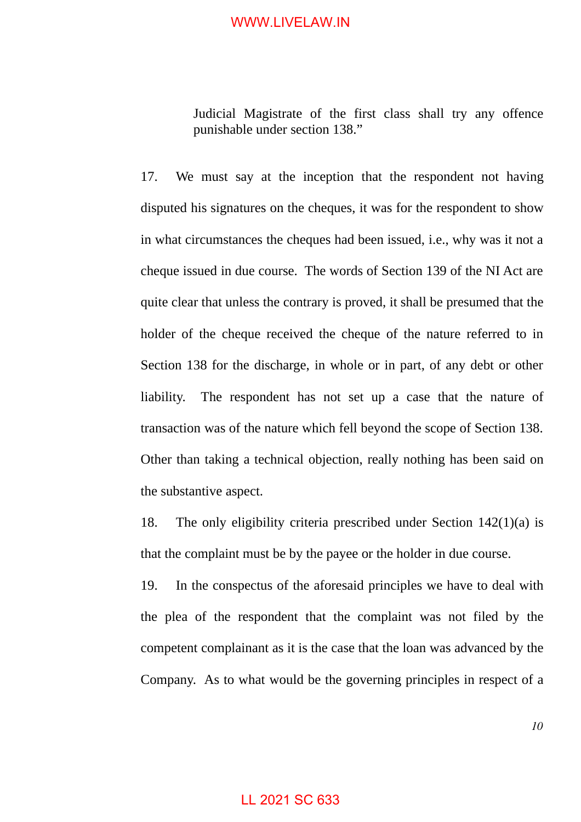Judicial Magistrate of the first class shall try any offence punishable under section 138."

17. We must say at the inception that the respondent not having disputed his signatures on the cheques, it was for the respondent to show in what circumstances the cheques had been issued, i.e., why was it not a cheque issued in due course. The words of Section 139 of the NI Act are quite clear that unless the contrary is proved, it shall be presumed that the holder of the cheque received the cheque of the nature referred to in Section 138 for the discharge, in whole or in part, of any debt or other liability. The respondent has not set up a case that the nature of transaction was of the nature which fell beyond the scope of Section 138. Other than taking a technical objection, really nothing has been said on the substantive aspect.

18. The only eligibility criteria prescribed under Section 142(1)(a) is that the complaint must be by the payee or the holder in due course.

19. In the conspectus of the aforesaid principles we have to deal with the plea of the respondent that the complaint was not filed by the competent complainant as it is the case that the loan was advanced by the Company. As to what would be the governing principles in respect of a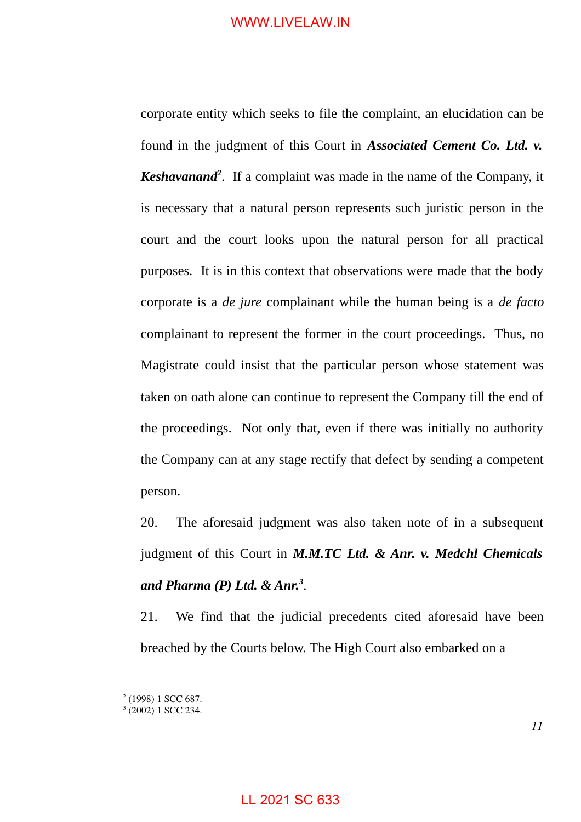corporate entity which seeks to file the complaint, an elucidation can be found in the judgment of this Court in *Associated Cement Co. Ltd. v. Keshavanand[2](#page-10-0)* . If a complaint was made in the name of the Company, it is necessary that a natural person represents such juristic person in the court and the court looks upon the natural person for all practical purposes. It is in this context that observations were made that the body corporate is a *de jure* complainant while the human being is a *de facto* complainant to represent the former in the court proceedings. Thus, no Magistrate could insist that the particular person whose statement was taken on oath alone can continue to represent the Company till the end of the proceedings. Not only that, even if there was initially no authority the Company can at any stage rectify that defect by sending a competent person.

20. The aforesaid judgment was also taken note of in a subsequent judgment of this Court in *M.M.TC Ltd. & Anr. v. Medchl Chemicals and Pharma (P) Ltd. & Anr.[3](#page-10-1)* .

21. We find that the judicial precedents cited aforesaid have been breached by the Courts below. The High Court also embarked on a

*11*

<span id="page-10-0"></span><sup>&</sup>lt;sup>2</sup> (1998) 1 SCC 687.

<span id="page-10-1"></span><sup>3</sup> (2002) 1 SCC 234.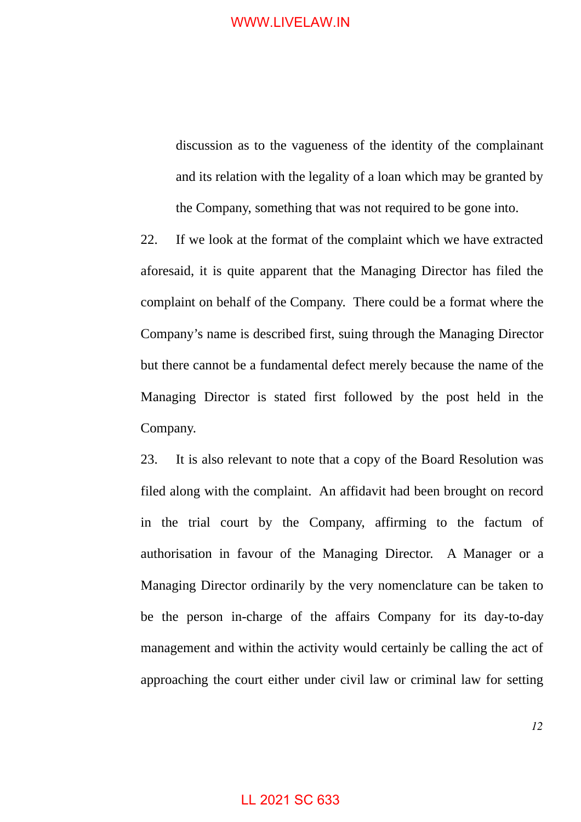discussion as to the vagueness of the identity of the complainant and its relation with the legality of a loan which may be granted by the Company, something that was not required to be gone into.

22. If we look at the format of the complaint which we have extracted aforesaid, it is quite apparent that the Managing Director has filed the complaint on behalf of the Company. There could be a format where the Company's name is described first, suing through the Managing Director but there cannot be a fundamental defect merely because the name of the Managing Director is stated first followed by the post held in the Company.

23. It is also relevant to note that a copy of the Board Resolution was filed along with the complaint. An affidavit had been brought on record in the trial court by the Company, affirming to the factum of authorisation in favour of the Managing Director. A Manager or a Managing Director ordinarily by the very nomenclature can be taken to be the person in-charge of the affairs Company for its day-to-day management and within the activity would certainly be calling the act of approaching the court either under civil law or criminal law for setting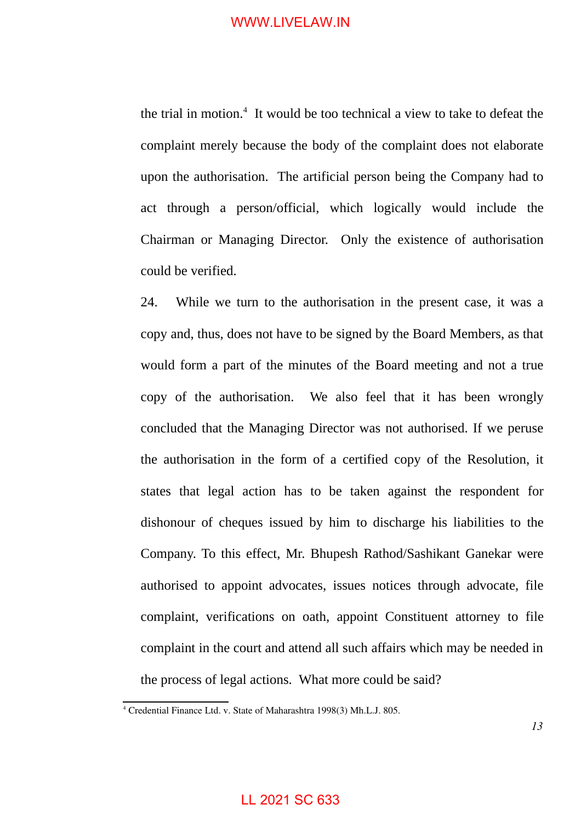the trial in motion.<sup>[4](#page-12-0)</sup> It would be too technical a view to take to defeat the complaint merely because the body of the complaint does not elaborate upon the authorisation. The artificial person being the Company had to act through a person/official, which logically would include the Chairman or Managing Director. Only the existence of authorisation could be verified.

24. While we turn to the authorisation in the present case, it was a copy and, thus, does not have to be signed by the Board Members, as that would form a part of the minutes of the Board meeting and not a true copy of the authorisation. We also feel that it has been wrongly concluded that the Managing Director was not authorised. If we peruse the authorisation in the form of a certified copy of the Resolution, it states that legal action has to be taken against the respondent for dishonour of cheques issued by him to discharge his liabilities to the Company. To this effect, Mr. Bhupesh Rathod/Sashikant Ganekar were authorised to appoint advocates, issues notices through advocate, file complaint, verifications on oath, appoint Constituent attorney to file complaint in the court and attend all such affairs which may be needed in the process of legal actions. What more could be said?

<span id="page-12-0"></span><sup>4</sup> Credential Finance Ltd. v. State of Maharashtra 1998(3) Mh.L.J. 805.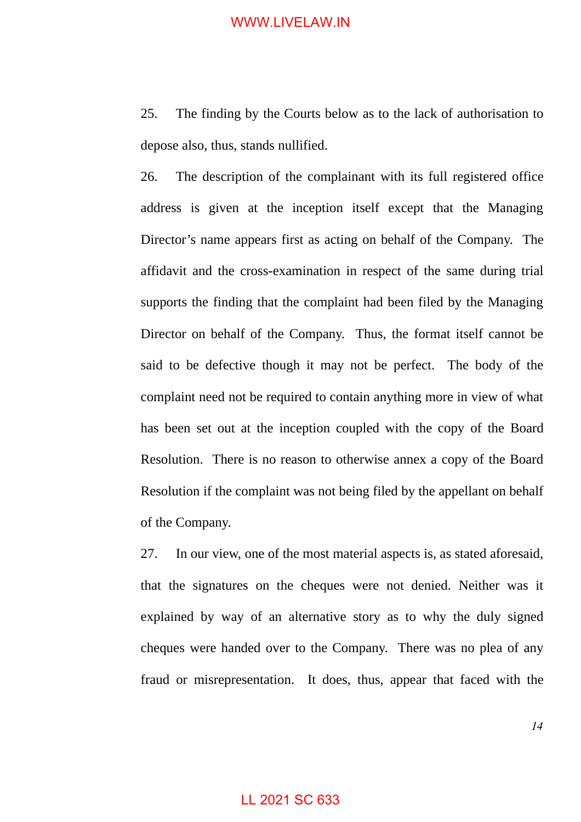25. The finding by the Courts below as to the lack of authorisation to depose also, thus, stands nullified.

26. The description of the complainant with its full registered office address is given at the inception itself except that the Managing Director's name appears first as acting on behalf of the Company. The affidavit and the cross-examination in respect of the same during trial supports the finding that the complaint had been filed by the Managing Director on behalf of the Company. Thus, the format itself cannot be said to be defective though it may not be perfect. The body of the complaint need not be required to contain anything more in view of what has been set out at the inception coupled with the copy of the Board Resolution. There is no reason to otherwise annex a copy of the Board Resolution if the complaint was not being filed by the appellant on behalf of the Company.

27. In our view, one of the most material aspects is, as stated aforesaid, that the signatures on the cheques were not denied. Neither was it explained by way of an alternative story as to why the duly signed cheques were handed over to the Company. There was no plea of any fraud or misrepresentation. It does, thus, appear that faced with the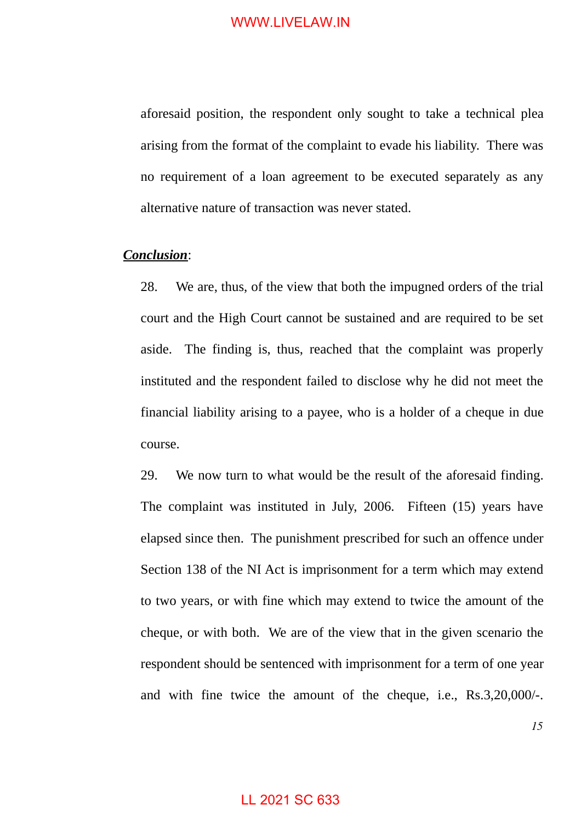aforesaid position, the respondent only sought to take a technical plea arising from the format of the complaint to evade his liability. There was no requirement of a loan agreement to be executed separately as any alternative nature of transaction was never stated.

### *Conclusion*:

28. We are, thus, of the view that both the impugned orders of the trial court and the High Court cannot be sustained and are required to be set aside. The finding is, thus, reached that the complaint was properly instituted and the respondent failed to disclose why he did not meet the financial liability arising to a payee, who is a holder of a cheque in due course.

29. We now turn to what would be the result of the aforesaid finding. The complaint was instituted in July, 2006. Fifteen (15) years have elapsed since then. The punishment prescribed for such an offence under Section 138 of the NI Act is imprisonment for a term which may extend to two years, or with fine which may extend to twice the amount of the cheque, or with both. We are of the view that in the given scenario the respondent should be sentenced with imprisonment for a term of one year and with fine twice the amount of the cheque, i.e., Rs.3,20,000/-.

## LL 2021 SC 633

*15*